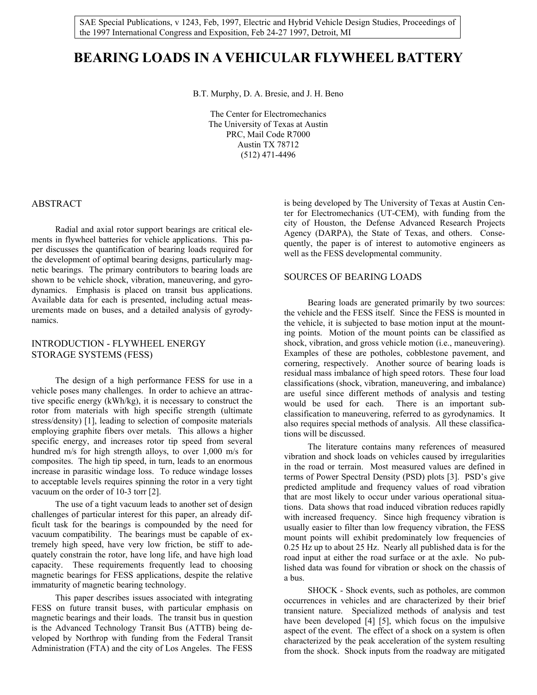SAE Special Publications, v 1243, Feb, 1997, Electric and Hybrid Vehicle Design Studies, Proceedings of the 1997 International Congress and Exposition, Feb 24-27 1997, Detroit, MI

# **BEARING LOADS IN A VEHICULAR FLYWHEEL BATTERY**

B.T. Murphy, D. A. Bresie, and J. H. Beno

The Center for Electromechanics The University of Texas at Austin PRC, Mail Code R7000 Austin TX 78712 (512) 471-4496

### ABSTRACT

 Radial and axial rotor support bearings are critical elements in flywheel batteries for vehicle applications. This paper discusses the quantification of bearing loads required for the development of optimal bearing designs, particularly magnetic bearings. The primary contributors to bearing loads are shown to be vehicle shock, vibration, maneuvering, and gyrodynamics. Emphasis is placed on transit bus applications. Available data for each is presented, including actual measurements made on buses, and a detailed analysis of gyrodynamics.

# INTRODUCTION - FLYWHEEL ENERGY STORAGE SYSTEMS (FESS)

 The design of a high performance FESS for use in a vehicle poses many challenges. In order to achieve an attractive specific energy (kWh/kg), it is necessary to construct the rotor from materials with high specific strength (ultimate stress/density) [1], leading to selection of composite materials employing graphite fibers over metals. This allows a higher specific energy, and increases rotor tip speed from several hundred m/s for high strength alloys, to over 1,000 m/s for composites. The high tip speed, in turn, leads to an enormous increase in parasitic windage loss. To reduce windage losses to acceptable levels requires spinning the rotor in a very tight vacuum on the order of 10-3 torr [2].

 The use of a tight vacuum leads to another set of design challenges of particular interest for this paper, an already difficult task for the bearings is compounded by the need for vacuum compatibility. The bearings must be capable of extremely high speed, have very low friction, be stiff to adequately constrain the rotor, have long life, and have high load capacity. These requirements frequently lead to choosing magnetic bearings for FESS applications, despite the relative immaturity of magnetic bearing technology.

 This paper describes issues associated with integrating FESS on future transit buses, with particular emphasis on magnetic bearings and their loads. The transit bus in question is the Advanced Technology Transit Bus (ATTB) being developed by Northrop with funding from the Federal Transit Administration (FTA) and the city of Los Angeles. The FESS

is being developed by The University of Texas at Austin Center for Electromechanics (UT-CEM), with funding from the city of Houston, the Defense Advanced Research Projects Agency (DARPA), the State of Texas, and others. Consequently, the paper is of interest to automotive engineers as well as the FESS developmental community.

# SOURCES OF BEARING LOADS

 Bearing loads are generated primarily by two sources: the vehicle and the FESS itself. Since the FESS is mounted in the vehicle, it is subjected to base motion input at the mounting points. Motion of the mount points can be classified as shock, vibration, and gross vehicle motion (i.e., maneuvering). Examples of these are potholes, cobblestone pavement, and cornering, respectively. Another source of bearing loads is residual mass imbalance of high speed rotors. These four load classifications (shock, vibration, maneuvering, and imbalance) are useful since different methods of analysis and testing would be used for each. There is an important subclassification to maneuvering, referred to as gyrodynamics. It also requires special methods of analysis. All these classifications will be discussed.

 The literature contains many references of measured vibration and shock loads on vehicles caused by irregularities in the road or terrain. Most measured values are defined in terms of Power Spectral Density (PSD) plots [3]. PSD's give predicted amplitude and frequency values of road vibration that are most likely to occur under various operational situations. Data shows that road induced vibration reduces rapidly with increased frequency. Since high frequency vibration is usually easier to filter than low frequency vibration, the FESS mount points will exhibit predominately low frequencies of 0.25 Hz up to about 25 Hz. Nearly all published data is for the road input at either the road surface or at the axle. No published data was found for vibration or shock on the chassis of a bus.

 SHOCK - Shock events, such as potholes, are common occurrences in vehicles and are characterized by their brief transient nature. Specialized methods of analysis and test have been developed [4] [5], which focus on the impulsive aspect of the event. The effect of a shock on a system is often characterized by the peak acceleration of the system resulting from the shock. Shock inputs from the roadway are mitigated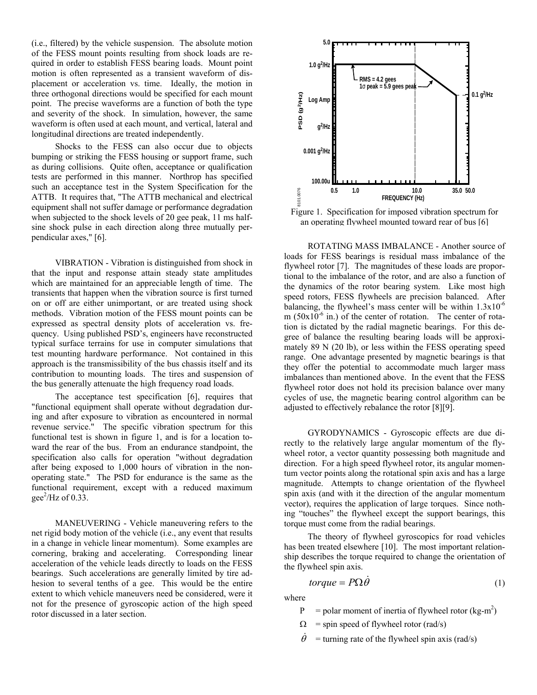(i.e., filtered) by the vehicle suspension. The absolute motion of the FESS mount points resulting from shock loads are required in order to establish FESS bearing loads. Mount point motion is often represented as a transient waveform of displacement or acceleration vs. time. Ideally, the motion in three orthogonal directions would be specified for each mount point. The precise waveforms are a function of both the type and severity of the shock. In simulation, however, the same waveform is often used at each mount, and vertical, lateral and longitudinal directions are treated independently.

 Shocks to the FESS can also occur due to objects bumping or striking the FESS housing or support frame, such as during collisions. Quite often, acceptance or qualification tests are performed in this manner. Northrop has specified such an acceptance test in the System Specification for the ATTB. It requires that, "The ATTB mechanical and electrical equipment shall not suffer damage or performance degradation when subjected to the shock levels of 20 gee peak, 11 ms halfsine shock pulse in each direction along three mutually perpendicular axes," [6].

 VIBRATION - Vibration is distinguished from shock in that the input and response attain steady state amplitudes which are maintained for an appreciable length of time. The transients that happen when the vibration source is first turned on or off are either unimportant, or are treated using shock methods. Vibration motion of the FESS mount points can be expressed as spectral density plots of acceleration vs. frequency. Using published PSD's, engineers have reconstructed typical surface terrains for use in computer simulations that test mounting hardware performance. Not contained in this approach is the transmissibility of the bus chassis itself and its contribution to mounting loads. The tires and suspension of the bus generally attenuate the high frequency road loads.

 The acceptance test specification [6], requires that "functional equipment shall operate without degradation during and after exposure to vibration as encountered in normal revenue service." The specific vibration spectrum for this functional test is shown in figure 1, and is for a location toward the rear of the bus. From an endurance standpoint, the specification also calls for operation "without degradation after being exposed to 1,000 hours of vibration in the nonoperating state." The PSD for endurance is the same as the functional requirement, except with a reduced maximum gee<sup>2</sup>/Hz of 0.33.

 MANEUVERING - Vehicle maneuvering refers to the net rigid body motion of the vehicle (i.e., any event that results in a change in vehicle linear momentum). Some examples are cornering, braking and accelerating. Corresponding linear acceleration of the vehicle leads directly to loads on the FESS bearings. Such accelerations are generally limited by tire adhesion to several tenths of a gee. This would be the entire extent to which vehicle maneuvers need be considered, were it not for the presence of gyroscopic action of the high speed rotor discussed in a later section.



Figure 1. Specification for imposed vibration spectrum for an operating flywheel mounted toward rear of bus [6]

 ROTATING MASS IMBALANCE - Another source of loads for FESS bearings is residual mass imbalance of the flywheel rotor [7]. The magnitudes of these loads are proportional to the imbalance of the rotor, and are also a function of the dynamics of the rotor bearing system. Like most high speed rotors, FESS flywheels are precision balanced. After balancing, the flywheel's mass center will be within  $1.3x10^{-6}$ m  $(50x10^{-6}$  in.) of the center of rotation. The center of rotation is dictated by the radial magnetic bearings. For this degree of balance the resulting bearing loads will be approximately 89 N (20 lb), or less within the FESS operating speed range. One advantage presented by magnetic bearings is that they offer the potential to accommodate much larger mass imbalances than mentioned above. In the event that the FESS flywheel rotor does not hold its precision balance over many cycles of use, the magnetic bearing control algorithm can be adjusted to effectively rebalance the rotor [8][9].

 GYRODYNAMICS - Gyroscopic effects are due directly to the relatively large angular momentum of the flywheel rotor, a vector quantity possessing both magnitude and direction. For a high speed flywheel rotor, its angular momentum vector points along the rotational spin axis and has a large magnitude. Attempts to change orientation of the flywheel spin axis (and with it the direction of the angular momentum vector), requires the application of large torques. Since nothing "touches" the flywheel except the support bearings, this torque must come from the radial bearings.

 The theory of flywheel gyroscopics for road vehicles has been treated elsewhere [10]. The most important relationship describes the torque required to change the orientation of the flywheel spin axis.

$$
torque = P\Omega \dot{\theta} \tag{1}
$$

where

- $P =$  polar moment of inertia of flywheel rotor (kg-m<sup>2</sup>)
	- $\Omega$  = spin speed of flywheel rotor (rad/s)
	- $\dot{\theta}$  = turning rate of the flywheel spin axis (rad/s)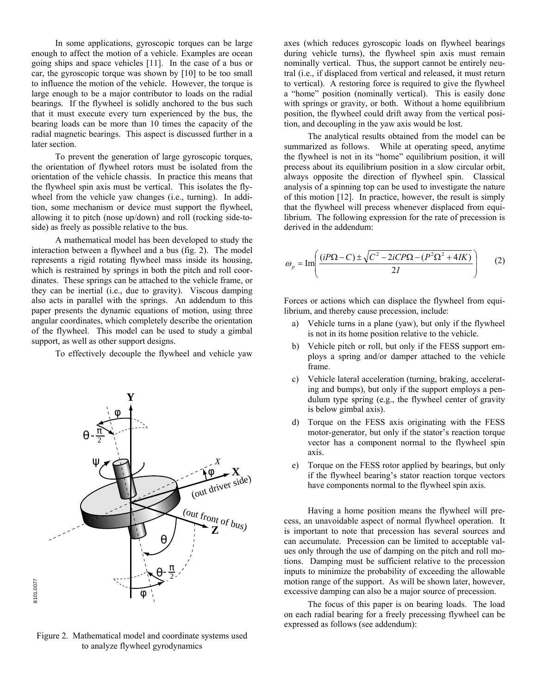In some applications, gyroscopic torques can be large enough to affect the motion of a vehicle. Examples are ocean going ships and space vehicles [11]. In the case of a bus or car, the gyroscopic torque was shown by [10] to be too small to influence the motion of the vehicle. However, the torque is large enough to be a major contributor to loads on the radial bearings. If the flywheel is solidly anchored to the bus such that it must execute every turn experienced by the bus, the bearing loads can be more than 10 times the capacity of the radial magnetic bearings. This aspect is discussed further in a later section.

 To prevent the generation of large gyroscopic torques, the orientation of flywheel rotors must be isolated from the orientation of the vehicle chassis. In practice this means that the flywheel spin axis must be vertical. This isolates the flywheel from the vehicle yaw changes (i.e., turning). In addition, some mechanism or device must support the flywheel, allowing it to pitch (nose up/down) and roll (rocking side-toside) as freely as possible relative to the bus.

 A mathematical model has been developed to study the interaction between a flywheel and a bus (fig. 2). The model represents a rigid rotating flywheel mass inside its housing, which is restrained by springs in both the pitch and roll coordinates. These springs can be attached to the vehicle frame, or they can be inertial (i.e., due to gravity). Viscous damping also acts in parallel with the springs. An addendum to this paper presents the dynamic equations of motion, using three angular coordinates, which completely describe the orientation of the flywheel. This model can be used to study a gimbal support, as well as other support designs.

To effectively decouple the flywheel and vehicle yaw



Figure 2. Mathematical model and coordinate systems used to analyze flywheel gyrodynamics

axes (which reduces gyroscopic loads on flywheel bearings during vehicle turns), the flywheel spin axis must remain nominally vertical. Thus, the support cannot be entirely neutral (i.e., if displaced from vertical and released, it must return to vertical). A restoring force is required to give the flywheel a "home" position (nominally vertical). This is easily done with springs or gravity, or both. Without a home equilibrium position, the flywheel could drift away from the vertical position, and decoupling in the yaw axis would be lost.

 The analytical results obtained from the model can be summarized as follows. While at operating speed, anytime the flywheel is not in its "home" equilibrium position, it will precess about its equilibrium position in a slow circular orbit, always opposite the direction of flywheel spin. Classical analysis of a spinning top can be used to investigate the nature of this motion [12]. In practice, however, the result is simply that the flywheel will precess whenever displaced from equilibrium. The following expression for the rate of precession is derived in the addendum:

$$
\omega_p = \text{Im}\left(\frac{(iP\Omega - C) \pm \sqrt{C^2 - 2iCP\Omega - (P^2\Omega^2 + 4IK)}}{2I}\right) \tag{2}
$$

Forces or actions which can displace the flywheel from equilibrium, and thereby cause precession, include:

- a) Vehicle turns in a plane (yaw), but only if the flywheel is not in its home position relative to the vehicle.
- b) Vehicle pitch or roll, but only if the FESS support employs a spring and/or damper attached to the vehicle frame.
- c) Vehicle lateral acceleration (turning, braking, accelerating and bumps), but only if the support employs a pendulum type spring (e.g., the flywheel center of gravity is below gimbal axis).
- d) Torque on the FESS axis originating with the FESS motor-generator, but only if the stator's reaction torque vector has a component normal to the flywheel spin axis.
- e) Torque on the FESS rotor applied by bearings, but only if the flywheel bearing's stator reaction torque vectors have components normal to the flywheel spin axis.

 Having a home position means the flywheel will precess, an unavoidable aspect of normal flywheel operation. It is important to note that precession has several sources and can accumulate. Precession can be limited to acceptable values only through the use of damping on the pitch and roll motions. Damping must be sufficient relative to the precession inputs to minimize the probability of exceeding the allowable motion range of the support. As will be shown later, however, excessive damping can also be a major source of precession.

 The focus of this paper is on bearing loads. The load on each radial bearing for a freely precessing flywheel can be expressed as follows (see addendum):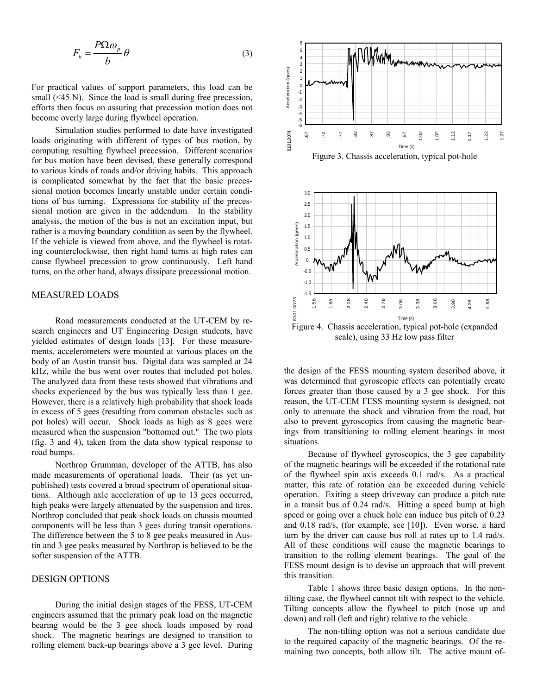$$
F_b = \frac{P\Omega \omega_p}{b} \theta \tag{3}
$$

For practical values of support parameters, this load can be small (<45 N). Since the load is small during free precession, efforts then focus on assuring that precession motion does not become overly large during flywheel operation.

 Simulation studies performed to date have investigated loads originating with different of types of bus motion, by computing resulting flywheel precession. Different scenarios for bus motion have been devised, these generally correspond to various kinds of roads and/or driving habits. This approach is complicated somewhat by the fact that the basic precessional motion becomes linearly unstable under certain conditions of bus turning. Expressions for stability of the precessional motion are given in the addendum. In the stability analysis, the motion of the bus is not an excitation input, but rather is a moving boundary condition as seen by the flywheel. If the vehicle is viewed from above, and the flywheel is rotating counterclockwise, then right hand turns at high rates can cause flywheel precession to grow continuously. Left hand turns, on the other hand, always dissipate precessional motion.

# MEASURED LOADS

 Road measurements conducted at the UT-CEM by research engineers and UT Engineering Design students, have yielded estimates of design loads [13]. For these measurements, accelerometers were mounted at various places on the body of an Austin transit bus. Digital data was sampled at 24 kHz, while the bus went over routes that included pot holes. The analyzed data from these tests showed that vibrations and shocks experienced by the bus was typically less than 1 gee. However, there is a relatively high probability that shock loads in excess of 5 gees (resulting from common obstacles such as pot holes) will occur. Shock loads as high as 8 gees were measured when the suspension "bottomed out." The two plots (fig. 3 and 4), taken from the data show typical response to road bumps.

 Northrop Grumman, developer of the ATTB, has also made measurements of operational loads. Their (as yet unpublished) tests covered a broad spectrum of operational situations. Although axle acceleration of up to 13 gees occurred, high peaks were largely attenuated by the suspension and tires. Northrop concluded that peak shock loads on chassis mounted components will be less than 3 gees during transit operations. The difference between the 5 to 8 gee peaks measured in Austin and 3 gee peaks measured by Northrop is believed to be the softer suspension of the ATTB.

## DESIGN OPTIONS

 During the initial design stages of the FESS, UT-CEM engineers assumed that the primary peak load on the magnetic bearing would be the 3 gee shock loads imposed by road shock. The magnetic bearings are designed to transition to rolling element back-up bearings above a 3 gee level. During



the design of the FESS mounting system described above, it was determined that gyroscopic effects can potentially create forces greater than those caused by a 3 gee shock. For this reason, the UT-CEM FESS mounting system is designed, not only to attenuate the shock and vibration from the road, but also to prevent gyroscopics from causing the magnetic bearings from transitioning to rolling element bearings in most situations.

 Because of flywheel gyroscopics, the 3 gee capability of the magnetic bearings will be exceeded if the rotational rate of the flywheel spin axis exceeds 0.1 rad/s. As a practical matter, this rate of rotation can be exceeded during vehicle operation. Exiting a steep driveway can produce a pitch rate in a transit bus of 0.24 rad/s. Hitting a speed bump at high speed or going over a chuck hole can induce bus pitch of 0.23 and 0.18 rad/s, (for example, see [10]). Even worse, a hard turn by the driver can cause bus roll at rates up to 1.4 rad/s. All of these conditions will cause the magnetic bearings to transition to the rolling element bearings. The goal of the FESS mount design is to devise an approach that will prevent this transition.

 Table 1 shows three basic design options. In the nontilting case, the flywheel cannot tilt with respect to the vehicle. Tilting concepts allow the flywheel to pitch (nose up and down) and roll (left and right) relative to the vehicle.

 The non-tilting option was not a serious candidate due to the required capacity of the magnetic bearings. Of the remaining two concepts, both allow tilt. The active mount of-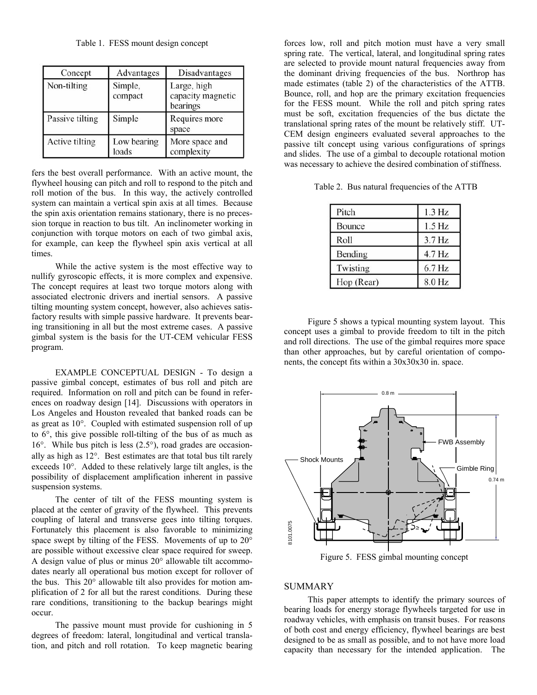Table 1. FESS mount design concept

| Concept         | Advantages           | Disadvantages                                |
|-----------------|----------------------|----------------------------------------------|
| Non-tilting     | Simple,<br>compact   | Large, high<br>capacity magnetic<br>bearings |
| Passive tilting | Simple               | Requires more<br>space                       |
| Active tilting  | Low bearing<br>loads | More space and<br>complexity                 |

fers the best overall performance. With an active mount, the flywheel housing can pitch and roll to respond to the pitch and roll motion of the bus. In this way, the actively controlled system can maintain a vertical spin axis at all times. Because the spin axis orientation remains stationary, there is no precession torque in reaction to bus tilt. An inclinometer working in conjunction with torque motors on each of two gimbal axis, for example, can keep the flywheel spin axis vertical at all times.

 While the active system is the most effective way to nullify gyroscopic effects, it is more complex and expensive. The concept requires at least two torque motors along with associated electronic drivers and inertial sensors. A passive tilting mounting system concept, however, also achieves satisfactory results with simple passive hardware. It prevents bearing transitioning in all but the most extreme cases. A passive gimbal system is the basis for the UT-CEM vehicular FESS program.

 EXAMPLE CONCEPTUAL DESIGN - To design a passive gimbal concept, estimates of bus roll and pitch are required. Information on roll and pitch can be found in references on roadway design [14]. Discussions with operators in Los Angeles and Houston revealed that banked roads can be as great as 10°. Coupled with estimated suspension roll of up to 6°, this give possible roll-tilting of the bus of as much as 16°. While bus pitch is less (2.5°), road grades are occasionally as high as 12°. Best estimates are that total bus tilt rarely exceeds 10°. Added to these relatively large tilt angles, is the possibility of displacement amplification inherent in passive suspension systems.

 The center of tilt of the FESS mounting system is placed at the center of gravity of the flywheel. This prevents coupling of lateral and transverse gees into tilting torques. Fortunately this placement is also favorable to minimizing space swept by tilting of the FESS. Movements of up to 20° are possible without excessive clear space required for sweep. A design value of plus or minus 20° allowable tilt accommodates nearly all operational bus motion except for rollover of the bus. This 20° allowable tilt also provides for motion amplification of 2 for all but the rarest conditions. During these rare conditions, transitioning to the backup bearings might occur.

 The passive mount must provide for cushioning in 5 degrees of freedom: lateral, longitudinal and vertical translation, and pitch and roll rotation. To keep magnetic bearing

forces low, roll and pitch motion must have a very small spring rate. The vertical, lateral, and longitudinal spring rates are selected to provide mount natural frequencies away from the dominant driving frequencies of the bus. Northrop has made estimates (table 2) of the characteristics of the ATTB. Bounce, roll, and hop are the primary excitation frequencies for the FESS mount. While the roll and pitch spring rates must be soft, excitation frequencies of the bus dictate the translational spring rates of the mount be relatively stiff. UT-CEM design engineers evaluated several approaches to the passive tilt concept using various configurations of springs and slides. The use of a gimbal to decouple rotational motion was necessary to achieve the desired combination of stiffness.

Table 2. Bus natural frequencies of the ATTB

| Pitch      | 1.3 Hz             |
|------------|--------------------|
| Bounce     | $1.5\,\mathrm{Hz}$ |
| Roll       | 3.7 Hz             |
| Bending    | 4.7 Hz             |
| Twisting   | 6.7 Hz             |
| Hop (Rear) | 8.0 Hz             |

 Figure 5 shows a typical mounting system layout. This concept uses a gimbal to provide freedom to tilt in the pitch and roll directions. The use of the gimbal requires more space than other approaches, but by careful orientation of components, the concept fits within a 30x30x30 in. space.



Figure 5. FESS gimbal mounting concept

## SUMMARY

 This paper attempts to identify the primary sources of bearing loads for energy storage flywheels targeted for use in roadway vehicles, with emphasis on transit buses. For reasons of both cost and energy efficiency, flywheel bearings are best designed to be as small as possible, and to not have more load capacity than necessary for the intended application. The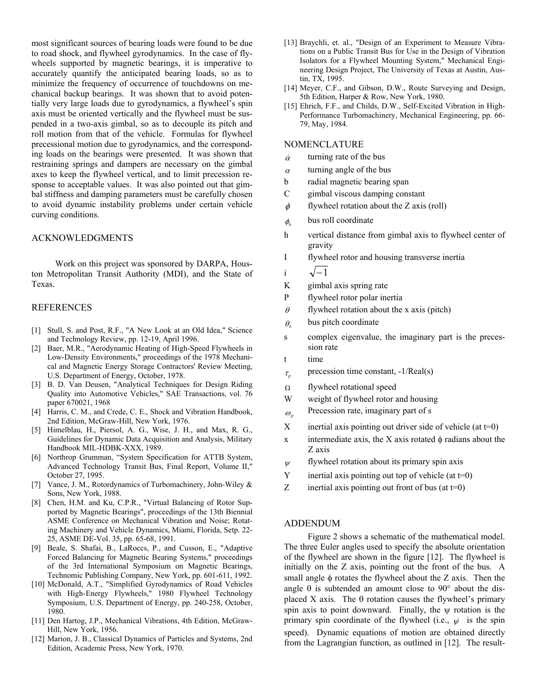most significant sources of bearing loads were found to be due to road shock, and flywheel gyrodynamics. In the case of flywheels supported by magnetic bearings, it is imperative to accurately quantify the anticipated bearing loads, so as to minimize the frequency of occurrence of touchdowns on mechanical backup bearings. It was shown that to avoid potentially very large loads due to gyrodynamics, a flywheel's spin axis must be oriented vertically and the flywheel must be suspended in a two-axis gimbal, so as to decouple its pitch and roll motion from that of the vehicle. Formulas for flywheel precessional motion due to gyrodynamics, and the corresponding loads on the bearings were presented. It was shown that restraining springs and dampers are necessary on the gimbal axes to keep the flywheel vertical, and to limit precession response to acceptable values. It was also pointed out that gimbal stiffness and damping parameters must be carefully chosen to avoid dynamic instability problems under certain vehicle curving conditions.

### ACKNOWLEDGMENTS

 Work on this project was sponsored by DARPA, Houston Metropolitan Transit Authority (MDI), and the State of Texas.

#### REFERENCES

- [1] Stull, S. and Post, R.F., "A New Look at an Old Idea," Science and Technology Review, pp. 12-19, April 1996.
- [2] Baer, M.R., "Aerodynamic Heating of High-Speed Flywheels in Low-Density Environments," proceedings of the 1978 Mechanical and Magnetic Energy Storage Contractors' Review Meeting, U.S. Department of Energy, October, 1978.
- [3] B. D. Van Deusen, "Analytical Techniques for Design Riding Quality into Automotive Vehicles," SAE Transactions, vol. 76 paper 670021, 1968
- [4] Harris, C. M., and Crede, C. E., Shock and Vibration Handbook, 2nd Edition, McGraw-Hill, New York, 1976.
- [5] Himelblau, H., Piersol, A. G., Wise, J. H., and Max, R. G., Guidelines for Dynamic Data Acquisition and Analysis, Military Handbook MIL-HDBK-XXX, 1989.
- [6] Northrop Grumman, "System Specification for ATTB System, Advanced Technology Transit Bus, Final Report, Volume II," October 27, 1995.
- [7] Vance, J. M., Rotordynamics of Turbomachinery, John-Wiley & Sons, New York, 1988.
- [8] Chen, H.M. and Ku, C.P.R., "Virtual Balancing of Rotor Supported by Magnetic Bearings", proceedings of the 13th Biennial ASME Conference on Mechanical Vibration and Noise; Rotating Machinery and Vehicle Dynamics, Miami, Florida, Setp. 22- 25, ASME DE-Vol. 35, pp. 65-68, 1991.
- [9] Beale, S. Shafai, B., LaRoccs, P., and Cusson, E., "Adaptive Forced Balancing for Magnetic Bearing Systems," proceedings of the 3rd International Symposium on Magnetic Bearings, Technomic Publishing Company, New York, pp. 601-611, 1992.
- [10] McDonald, A.T., "Simplified Gyrodynamics of Road Vehicles with High-Energy Flywheels," 1980 Flywheel Technology Symposium, U.S. Department of Energy, pp. 240-258, October, 1980.
- [11] Den Hartog, J.P., Mechanical Vibrations, 4th Edition, McGraw-Hill, New York, 1956.
- [12] Marion, J. B., Classical Dynamics of Particles and Systems, 2nd Edition, Academic Press, New York, 1970.
- [13] Braychli, et. al., "Design of an Experiment to Measure Vibrations on a Public Transit Bus for Use in the Design of Vibration Isolators for a Flywheel Mounting System," Mechanical Engineering Design Project, The University of Texas at Austin, Austin, TX, 1995.
- [14] Meyer, C.F., and Gibson, D.W., Route Surveying and Design, 5th Edition, Harper & Row, New York, 1980.
- [15] Ehrich, F.F., and Childs, D.W., Self-Excited Vibration in High-Performance Turbomachinery, Mechanical Engineering, pp. 66- 79, May, 1984.

## NOMENCLATURE

- $\dot{\alpha}$  turning rate of the bus
- $\alpha$  turning angle of the bus
- b radial magnetic bearing span
- C gimbal viscous damping constant
- $\phi$  flywheel rotation about the Z axis (roll)
- $\phi$  bus roll coordinate
- h vertical distance from gimbal axis to flywheel center of gravity
- I flywheel rotor and housing transverse inertia
- i  $\sqrt{-1}$
- K gimbal axis spring rate
- P flywheel rotor polar inertia
- $\theta$  flywheel rotation about the x axis (pitch)
- $\theta_h$  bus pitch coordinate
- s complex eigenvalue, the imaginary part is the precession rate
- t time
- $\tau$ <sub>*p*</sub> precession time constant, -1/Real(s)
- Ω flywheel rotational speed
- W weight of flywheel rotor and housing
- $\omega_{n}$  Precession rate, imaginary part of s
- $X$  inertial axis pointing out driver side of vehicle (at  $t=0$ )
- x intermediate axis, the X axis rotated  $\phi$  radians about the Z axis
- $\psi$  flywheel rotation about its primary spin axis
- $Y$  inertial axis pointing out top of vehicle (at  $t=0$ )
- $Z$  inertial axis pointing out front of bus (at  $t=0$ )

#### ADDENDUM

 Figure 2 shows a schematic of the mathematical model. The three Euler angles used to specify the absolute orientation of the flywheel are shown in the figure [12]. The flywheel is initially on the Z axis, pointing out the front of the bus. A small angle  $\phi$  rotates the flywheel about the Z axis. Then the angle  $\theta$  is subtended an amount close to 90 $\degree$  about the displaced X axis. The  $\theta$  rotation causes the flywheel's primary spin axis to point downward. Finally, the ψ rotation is the primary spin coordinate of the flywheel (i.e.,  $\psi$  is the spin speed). Dynamic equations of motion are obtained directly from the Lagrangian function, as outlined in [12]. The result-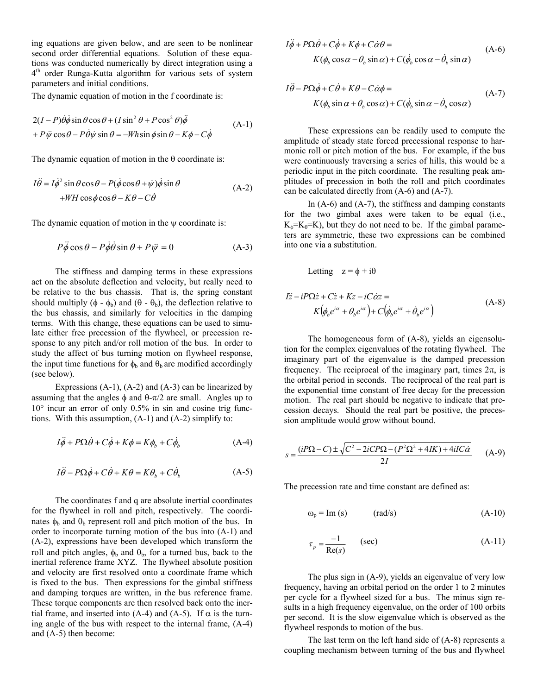ing equations are given below, and are seen to be nonlinear second order differential equations. Solution of these equations was conducted numerically by direct integration using a 4<sup>th</sup> order Runga-Kutta algorithm for various sets of system parameters and initial conditions.

The dynamic equation of motion in the f coordinate is:

$$
2(I - P)\dot{\theta}\dot{\phi}\sin\theta\cos\theta + (I\sin^2\theta + P\cos^2\theta)\ddot{\phi}
$$
  
+  $P\ddot{\psi}\cos\theta - P\dot{\theta}\dot{\psi}\sin\theta = -Wh\sin\phi\sin\theta - K\phi - C\dot{\phi}$  (A-1)

The dynamic equation of motion in the  $\theta$  coordinate is:

$$
I\ddot{\theta} = I\dot{\phi}^2 \sin\theta \cos\theta - P(\dot{\phi}\cos\theta + \dot{\psi})\dot{\phi}\sin\theta
$$
  
+*WH* cos  $\phi$  cos  $\theta$  – *K* $\theta$  – *C* $\dot{\theta}$  (A-2)

The dynamic equation of motion in the  $\psi$  coordinate is:

$$
P\ddot{\phi}\cos\theta - P\dot{\phi}\dot{\theta}\sin\theta + P\ddot{\psi} = 0
$$
 (A-3)

 The stiffness and damping terms in these expressions act on the absolute deflection and velocity, but really need to be relative to the bus chassis. That is, the spring constant should multiply ( $\phi - \phi_b$ ) and ( $\theta - \theta_b$ ), the deflection relative to the bus chassis, and similarly for velocities in the damping terms. With this change, these equations can be used to simulate either free precession of the flywheel, or precession response to any pitch and/or roll motion of the bus. In order to study the affect of bus turning motion on flywheel response, the input time functions for  $\phi_b$  and  $\theta_b$  are modified accordingly (see below).

Expressions  $(A-1)$ ,  $(A-2)$  and  $(A-3)$  can be linearized by assuming that the angles  $\phi$  and  $\theta$ -π/2 are small. Angles up to  $10^{\circ}$  incur an error of only 0.5% in sin and cosine trig functions. With this assumption, (A-1) and (A-2) simplify to:

$$
I\ddot{\phi} + P\Omega \dot{\theta} + C\dot{\phi} + K\phi = K\phi_b + C\dot{\phi}_b \tag{A-4}
$$

$$
I\ddot{\theta} - P\Omega \dot{\phi} + C\dot{\theta} + K\theta = K\theta_b + C\dot{\theta}_b \tag{A-5}
$$

 The coordinates f and q are absolute inertial coordinates for the flywheel in roll and pitch, respectively. The coordinates  $\phi_b$  and  $\theta_b$  represent roll and pitch motion of the bus. In order to incorporate turning motion of the bus into (A-1) and (A-2), expressions have been developed which transform the roll and pitch angles,  $\phi_b$  and  $\theta_b$ , for a turned bus, back to the inertial reference frame XYZ. The flywheel absolute position and velocity are first resolved onto a coordinate frame which is fixed to the bus. Then expressions for the gimbal stiffness and damping torques are written, in the bus reference frame. These torque components are then resolved back onto the inertial frame, and inserted into (A-4) and (A-5). If  $\alpha$  is the turning angle of the bus with respect to the internal frame, (A-4) and (A-5) then become:

$$
I\ddot{\phi} + P\Omega \dot{\theta} + C\dot{\phi} + K\phi + C\dot{\alpha}\theta =
$$
  
 
$$
K(\phi_b \cos \alpha - \theta_b \sin \alpha) + C(\dot{\phi}_b \cos \alpha - \dot{\theta}_b \sin \alpha)
$$
 (A-6)

$$
I\ddot{\theta} - P\Omega\dot{\phi} + C\dot{\theta} + K\theta - C\dot{\alpha}\phi =
$$
  
 
$$
K(\phi_b \sin \alpha + \theta_b \cos \alpha) + C(\dot{\phi}_b \sin \alpha - \dot{\theta}_b \cos \alpha)
$$
 (A-7)

 These expressions can be readily used to compute the amplitude of steady state forced precessional response to harmonic roll or pitch motion of the bus. For example, if the bus were continuously traversing a series of hills, this would be a periodic input in the pitch coordinate. The resulting peak amplitudes of precession in both the roll and pitch coordinates can be calculated directly from (A-6) and (A-7).

In  $(A-6)$  and  $(A-7)$ , the stiffness and damping constants for the two gimbal axes were taken to be equal (i.e.,  $K_{\phi} = K_{\theta} = K$ , but they do not need to be. If the gimbal parameters are symmetric, these two expressions can be combined into one via a substitution.

Letting 
$$
z = \phi + i\theta
$$
  
\n
$$
I\ddot{z} - iP\Omega \dot{z} + C\dot{z} + Kz - iC\dot{\alpha}z =
$$
\n
$$
K(\phi_{\beta}e^{i\alpha} + \theta_{\beta}e^{i\alpha}) + C(\dot{\phi}_{\beta}e^{i\alpha} + \dot{\theta}_{\beta}e^{i\alpha})
$$
\n(A-8)

 The homogeneous form of (A-8), yields an eigensolution for the complex eigenvalues of the rotating flywheel. The imaginary part of the eigenvalue is the damped precession frequency. The reciprocal of the imaginary part, times  $2\pi$ , is the orbital period in seconds. The reciprocal of the real part is the exponential time constant of free decay for the precession motion. The real part should be negative to indicate that precession decays. Should the real part be positive, the precession amplitude would grow without bound.

$$
s = \frac{(iP\Omega - C) \pm \sqrt{C^2 - 2iCP\Omega - (P^2\Omega^2 + 4IK) + 4iI\tilde{C}\alpha}}{2I}
$$
 (A-9)

The precession rate and time constant are defined as:

$$
\omega_{\rm p} = \text{Im}(s) \qquad \text{(rad/s)} \tag{A-10}
$$

$$
\tau_p = \frac{-1}{\text{Re}(s)} \qquad \text{(sec)} \tag{A-11}
$$

 The plus sign in (A-9), yields an eigenvalue of very low frequency, having an orbital period on the order 1 to 2 minutes per cycle for a flywheel sized for a bus. The minus sign results in a high frequency eigenvalue, on the order of 100 orbits per second. It is the slow eigenvalue which is observed as the flywheel responds to motion of the bus.

 The last term on the left hand side of (A-8) represents a coupling mechanism between turning of the bus and flywheel